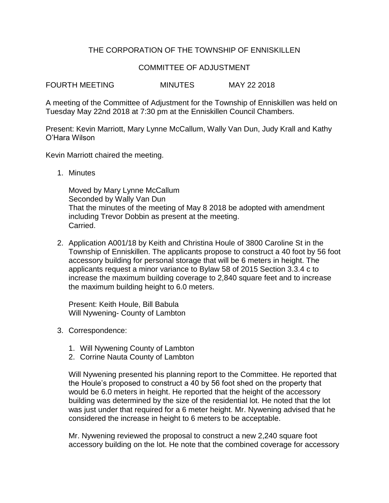## THE CORPORATION OF THE TOWNSHIP OF ENNISKILLEN

## COMMITTEE OF ADJUSTMENT

FOURTH MEETING MINUTES MAY 22 2018

A meeting of the Committee of Adjustment for the Township of Enniskillen was held on Tuesday May 22nd 2018 at 7:30 pm at the Enniskillen Council Chambers.

Present: Kevin Marriott, Mary Lynne McCallum, Wally Van Dun, Judy Krall and Kathy O'Hara Wilson

Kevin Marriott chaired the meeting.

1. Minutes

Moved by Mary Lynne McCallum Seconded by Wally Van Dun That the minutes of the meeting of May 8 2018 be adopted with amendment including Trevor Dobbin as present at the meeting. Carried.

2. Application A001/18 by Keith and Christina Houle of 3800 Caroline St in the Township of Enniskillen. The applicants propose to construct a 40 foot by 56 foot accessory building for personal storage that will be 6 meters in height. The applicants request a minor variance to Bylaw 58 of 2015 Section 3.3.4 c to increase the maximum building coverage to 2,840 square feet and to increase the maximum building height to 6.0 meters.

Present: Keith Houle, Bill Babula Will Nywening- County of Lambton

- 3. Correspondence:
	- 1. Will Nywening County of Lambton
	- 2. Corrine Nauta County of Lambton

Will Nywening presented his planning report to the Committee. He reported that the Houle's proposed to construct a 40 by 56 foot shed on the property that would be 6.0 meters in height. He reported that the height of the accessory building was determined by the size of the residential lot. He noted that the lot was just under that required for a 6 meter height. Mr. Nywening advised that he considered the increase in height to 6 meters to be acceptable.

Mr. Nywening reviewed the proposal to construct a new 2,240 square foot accessory building on the lot. He note that the combined coverage for accessory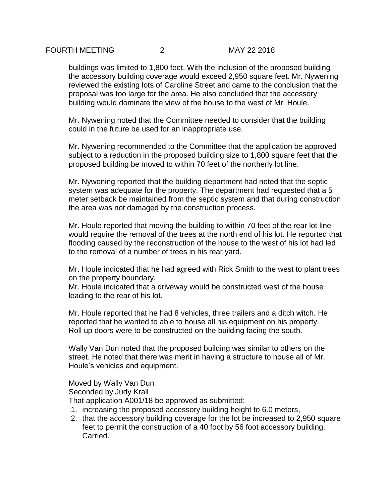buildings was limited to 1,800 feet. With the inclusion of the proposed building the accessory building coverage would exceed 2,950 square feet. Mr. Nywening reviewed the existing lots of Caroline Street and came to the conclusion that the proposal was too large for the area. He also concluded that the accessory building would dominate the view of the house to the west of Mr. Houle.

Mr. Nywening noted that the Committee needed to consider that the building could in the future be used for an inappropriate use.

Mr. Nywening recommended to the Committee that the application be approved subject to a reduction in the proposed building size to 1,800 square feet that the proposed building be moved to within 70 feet of the northerly lot line.

Mr. Nywening reported that the building department had noted that the septic system was adequate for the property. The department had requested that a 5 meter setback be maintained from the septic system and that during construction the area was not damaged by the construction process.

Mr. Houle reported that moving the building to within 70 feet of the rear lot line would require the removal of the trees at the north end of his lot. He reported that flooding caused by the reconstruction of the house to the west of his lot had led to the removal of a number of trees in his rear yard.

Mr. Houle indicated that he had agreed with Rick Smith to the west to plant trees on the property boundary.

Mr. Houle indicated that a driveway would be constructed west of the house leading to the rear of his lot.

Mr. Houle reported that he had 8 vehicles, three trailers and a ditch witch. He reported that he wanted to able to house all his equipment on his property. Roll up doors were to be constructed on the building facing the south.

Wally Van Dun noted that the proposed building was similar to others on the street. He noted that there was merit in having a structure to house all of Mr. Houle's vehicles and equipment.

Moved by Wally Van Dun Seconded by Judy Krall

That application A001/18 be approved as submitted:

- 1. increasing the proposed accessory building height to 6.0 meters,
- 2. that the accessory building coverage for the lot be increased to 2,950 square feet to permit the construction of a 40 foot by 56 foot accessory building. Carried.